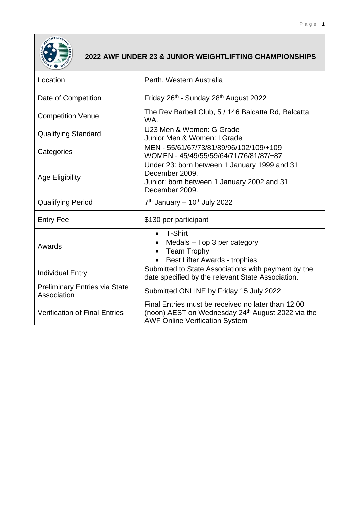

## **2022 AWF UNDER 23 & JUNIOR WEIGHTLIFTING CHAMPIONSHIPS**

| Location                                            | Perth, Western Australia                                                                                                                                     |  |
|-----------------------------------------------------|--------------------------------------------------------------------------------------------------------------------------------------------------------------|--|
| Date of Competition                                 | Friday 26 <sup>th</sup> - Sunday 28 <sup>th</sup> August 2022                                                                                                |  |
| <b>Competition Venue</b>                            | The Rev Barbell Club, 5 / 146 Balcatta Rd, Balcatta<br>WA.                                                                                                   |  |
| <b>Qualifying Standard</b>                          | U23 Men & Women: G Grade<br>Junior Men & Women: I Grade                                                                                                      |  |
| Categories                                          | MEN - 55/61/67/73/81/89/96/102/109/+109<br>WOMEN - 45/49/55/59/64/71/76/81/87/+87                                                                            |  |
| <b>Age Eligibility</b>                              | Under 23: born between 1 January 1999 and 31<br>December 2009.<br>Junior: born between 1 January 2002 and 31<br>December 2009.                               |  |
| <b>Qualifying Period</b>                            | $7th$ January – 10 <sup>th</sup> July 2022                                                                                                                   |  |
| <b>Entry Fee</b>                                    | \$130 per participant                                                                                                                                        |  |
| Awards                                              | T-Shirt<br>$\bullet$<br>Medals - Top 3 per category<br><b>Team Trophy</b><br>$\bullet$<br>Best Lifter Awards - trophies                                      |  |
| <b>Individual Entry</b>                             | Submitted to State Associations with payment by the<br>date specified by the relevant State Association.                                                     |  |
| <b>Preliminary Entries via State</b><br>Association | Submitted ONLINE by Friday 15 July 2022                                                                                                                      |  |
| <b>Verification of Final Entries</b>                | Final Entries must be received no later than 12:00<br>(noon) AEST on Wednesday 24 <sup>th</sup> August 2022 via the<br><b>AWF Online Verification System</b> |  |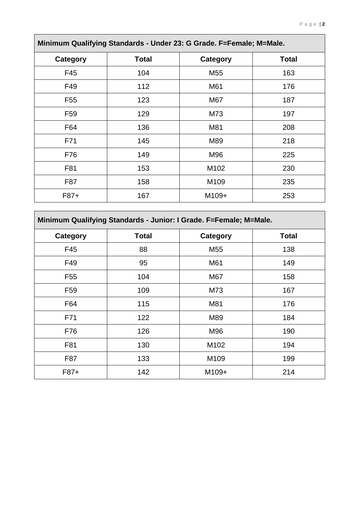÷.

| Minimum Qualifying Standards - Under 23: G Grade. F=Female; M=Male. |              |                  |              |
|---------------------------------------------------------------------|--------------|------------------|--------------|
| <b>Category</b>                                                     | <b>Total</b> | <b>Category</b>  | <b>Total</b> |
| F45                                                                 | 104          | M <sub>55</sub>  | 163          |
| F49                                                                 | 112          | M61              | 176          |
| F <sub>55</sub>                                                     | 123          | M67              | 187          |
| F <sub>59</sub>                                                     | 129          | M73              | 197          |
| F64                                                                 | 136          | M81              | 208          |
| F71                                                                 | 145          | M89              | 218          |
| F76                                                                 | 149          | M96              | 225          |
| F81                                                                 | 153          | M102             | 230          |
| F87                                                                 | 158          | M <sub>109</sub> | 235          |
| F87+                                                                | 167          | M109+            | 253          |

 $\mathbf{r}$ 

| Minimum Qualifying Standards - Junior: I Grade. F=Female; M=Male. |              |                 |              |
|-------------------------------------------------------------------|--------------|-----------------|--------------|
| Category                                                          | <b>Total</b> | <b>Category</b> | <b>Total</b> |
| F45                                                               | 88           | M <sub>55</sub> | 138          |
| F49                                                               | 95           | M61             | 149          |
| F <sub>55</sub>                                                   | 104          | M67             | 158          |
| F <sub>59</sub>                                                   | 109          | M73             | 167          |
| F64                                                               | 115          | M81             | 176          |
| F71                                                               | 122          | M89             | 184          |
| F76                                                               | 126          | M96             | 190          |
| F81                                                               | 130          | M102            | 194          |
| F87                                                               | 133          | M109            | 199          |
| F87+                                                              | 142          | M109+           | 214          |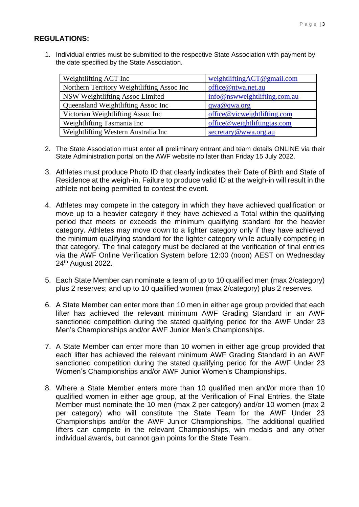## **REGULATIONS:**

1. Individual entries must be submitted to the respective State Association with payment by the date specified by the State Association.

| Weightlifting ACT Inc                      | weightliftingACT@gmail.com   |
|--------------------------------------------|------------------------------|
| Northern Territory Weightlifting Assoc Inc | office@ntwa.net.au           |
| NSW Weightlifting Assoc Limited            | info@nswweightlifting.com.au |
| Queensland Weightlifting Assoc Inc         | qwa@qwa.org                  |
| Victorian Weightlifting Assoc Inc          | office@vicweightlifting.com  |
| Weightlifting Tasmania Inc                 | office@weightliftingtas.com  |
| Weightlifting Western Australia Inc        | secretary@wwa.org.au         |

- 2. The State Association must enter all preliminary entrant and team details ONLINE via their State Administration portal on the AWF website no later than Friday 15 July 2022.
- 3. Athletes must produce Photo ID that clearly indicates their Date of Birth and State of Residence at the weigh-in. Failure to produce valid ID at the weigh-in will result in the athlete not being permitted to contest the event.
- 4. Athletes may compete in the category in which they have achieved qualification or move up to a heavier category if they have achieved a Total within the qualifying period that meets or exceeds the minimum qualifying standard for the heavier category. Athletes may move down to a lighter category only if they have achieved the minimum qualifying standard for the lighter category while actually competing in that category. The final category must be declared at the verification of final entries via the AWF Online Verification System before 12:00 (noon) AEST on Wednesday 24th August 2022.
- 5. Each State Member can nominate a team of up to 10 qualified men (max 2/category) plus 2 reserves; and up to 10 qualified women (max 2/category) plus 2 reserves.
- 6. A State Member can enter more than 10 men in either age group provided that each lifter has achieved the relevant minimum AWF Grading Standard in an AWF sanctioned competition during the stated qualifying period for the AWF Under 23 Men's Championships and/or AWF Junior Men's Championships.
- 7. A State Member can enter more than 10 women in either age group provided that each lifter has achieved the relevant minimum AWF Grading Standard in an AWF sanctioned competition during the stated qualifying period for the AWF Under 23 Women's Championships and/or AWF Junior Women's Championships.
- 8. Where a State Member enters more than 10 qualified men and/or more than 10 qualified women in either age group, at the Verification of Final Entries, the State Member must nominate the 10 men (max 2 per category) and/or 10 women (max 2 per category) who will constitute the State Team for the AWF Under 23 Championships and/or the AWF Junior Championships. The additional qualified lifters can compete in the relevant Championships, win medals and any other individual awards, but cannot gain points for the State Team.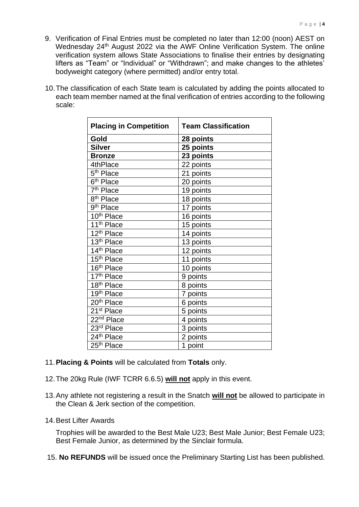- 9. Verification of Final Entries must be completed no later than 12:00 (noon) AEST on Wednesday 24<sup>th</sup> August 2022 via the AWF Online Verification System. The online verification system allows State Associations to finalise their entries by designating lifters as "Team" or "Individual" or "Withdrawn"; and make changes to the athletes' bodyweight category (where permitted) and/or entry total.
- 10.The classification of each State team is calculated by adding the points allocated to each team member named at the final verification of entries according to the following scale:

| <b>Placing in Competition</b>       | <b>Team Classification</b> |
|-------------------------------------|----------------------------|
| Gold                                | <b>28 points</b>           |
| <b>Silver</b>                       | 25 points                  |
| <b>Bronze</b>                       | 23 points                  |
| 4thPlace                            | 22 points                  |
| 5 <sup>th</sup> Place               | 21 points                  |
| 6 <sup>th</sup> Place               | 20 points                  |
| 7 <sup>th</sup> Place               | 19 points                  |
| 8 <sup>th</sup> Place               | 18 points                  |
| 9 <sup>th</sup> Place               | 17 points                  |
| 10th Place                          | 16 points                  |
| 11 <sup>th</sup> Place              | 15 points                  |
| 12 <sup>th</sup> Place              | 14 points                  |
| $13th$ Place                        | 13 points                  |
| 14th Place                          | 12 points                  |
| 15 <sup>th</sup> Place              | 11 points                  |
| 16th Place                          | 10 points                  |
| 17th Place                          | 9 points                   |
| $18th$ Place                        | 8 points                   |
| $19th$ Place                        | 7 points                   |
| 20 <sup>th</sup> Place              | 6 points                   |
| 21 <sup>st</sup> Place              | 5 points                   |
| 22 <sup>nd</sup> Place              | 4 points                   |
| 23rd Place                          | 3 points                   |
| $\overline{24}$ <sup>th</sup> Place | 2 points                   |
| 25 <sup>th</sup> Place              | 1 point                    |

- 11.**Placing & Points** will be calculated from **Totals** only.
- 12.The 20kg Rule (IWF TCRR 6.6.5) **will not** apply in this event.
- 13.Any athlete not registering a result in the Snatch **will not** be allowed to participate in the Clean & Jerk section of the competition.
- 14.Best Lifter Awards

Trophies will be awarded to the Best Male U23; Best Male Junior; Best Female U23; Best Female Junior, as determined by the Sinclair formula.

15. **No REFUNDS** will be issued once the Preliminary Starting List has been published.